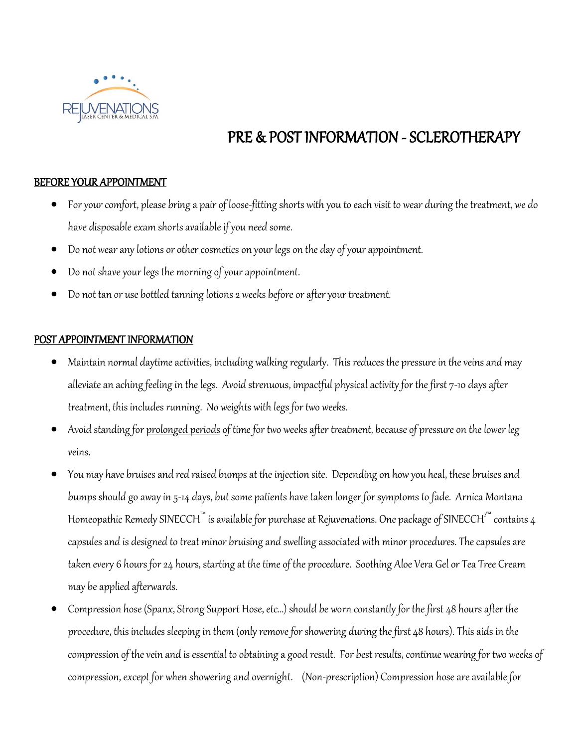

# PRE & POST INFORMATION - SCLEROTHERAPY

## BEFORE YOUR APPOINTMENT

- For your comfort, please bring a pair of loose-fitting shorts with you to each visit to wear during the treatment, we do have disposable exam shorts available if you need some.
- Do not wear any lotions or other cosmetics on your legs on the day of your appointment.
- Do not shave your legs the morning of your appointment.
- Do not tan or use bottled tanning lotions 2 weeks before or after your treatment.

## POST APPOINTMENT INFORMATION

- Maintain normal daytime activities, including walking regularly. This reduces the pressure in the veins and may alleviate an aching feeling in the legs. Avoid strenuous, impactful physical activity for the first 7-10 days after treatment, this includes running. No weights with legs for two weeks.
- Avoid standing for prolonged periods of time for two weeks after treatment, because of pressure on the lower leg veins.
- You may have bruises and red raised bumps at the injection site. Depending on how you heal, these bruises and bumps should go away in 5-14 days, but some patients have taken longer for symptoms to fade. Arnica Montana Homeopathic Remedy SINECCH™ is available for purchase at Rejuvenations. One package of SINECCH $^{\iota^{n{\kappa}}}$  contains 4 capsules and is designed to treat minor bruising and swelling associated with minor procedures. The capsules are taken every 6 hours for 24 hours, starting at the time of the procedure. Soothing Aloe Vera Gel or Tea Tree Cream may be applied afterwards.
- Compression hose (Spanx, Strong Support Hose, etc...) should be worn constantly for the first 48 hours after the procedure, this includes sleeping in them (only remove for showering during the first 48 hours). This aids in the compression of the vein and is essential to obtaining a good result. For best results, continue wearingfor two weeks of compression, except for when showering and overnight. (Non-prescription) Compression hose are available for